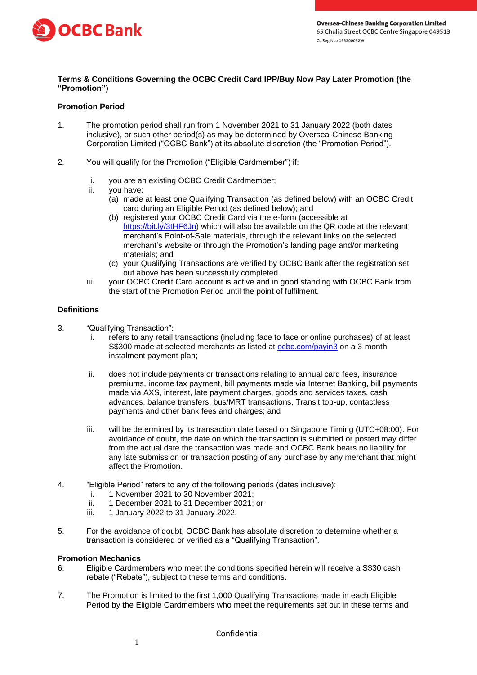

# **Terms & Conditions Governing the OCBC Credit Card IPP/Buy Now Pay Later Promotion (the "Promotion")**

# **Promotion Period**

- 1. The promotion period shall run from 1 November 2021 to 31 January 2022 (both dates inclusive), or such other period(s) as may be determined by Oversea-Chinese Banking Corporation Limited ("OCBC Bank") at its absolute discretion (the "Promotion Period").
- 2. You will qualify for the Promotion ("Eligible Cardmember") if:
	- i. you are an existing OCBC Credit Cardmember;
	- ii. you have:
		- (a) made at least one Qualifying Transaction (as defined below) with an OCBC Credit card during an Eligible Period (as defined below); and
		- (b) registered your OCBC Credit Card via the e-form (accessible at [https://bit.ly/3tHF6Jn\)](https://bit.ly/3tHF6Jn) which will also be available on the QR code at the relevant merchant's Point-of-Sale materials, through the relevant links on the selected merchant's website or through the Promotion's landing page and/or marketing materials; and
		- (c) your Qualifying Transactions are verified by OCBC Bank after the registration set out above has been successfully completed.
	- iii. your OCBC Credit Card account is active and in good standing with OCBC Bank from the start of the Promotion Period until the point of fulfilment.

### **Definitions**

- 3. "Qualifying Transaction":
	- i. refers to any retail transactions (including face to face or online purchases) of at least S\$300 made at selected merchants as listed at [ocbc.com/payin3](http://www.ocbc.com/personal-banking/campaign/pay-in-3) on a 3-month instalment payment plan;
	- ii. does not include payments or transactions relating to annual card fees, insurance premiums, income tax payment, bill payments made via Internet Banking, bill payments made via AXS, interest, late payment charges, goods and services taxes, cash advances, balance transfers, bus/MRT transactions, Transit top-up, contactless payments and other bank fees and charges; and
	- iii. will be determined by its transaction date based on Singapore Timing (UTC+08:00). For avoidance of doubt, the date on which the transaction is submitted or posted may differ from the actual date the transaction was made and OCBC Bank bears no liability for any late submission or transaction posting of any purchase by any merchant that might affect the Promotion.
- 4. "Eligible Period" refers to any of the following periods (dates inclusive):
	- i. 1 November 2021 to 30 November 2021;
	- ii. 1 December 2021 to 31 December 2021; or
	- iii. 1 January 2022 to 31 January 2022.
- 5. For the avoidance of doubt, OCBC Bank has absolute discretion to determine whether a transaction is considered or verified as a "Qualifying Transaction".

#### **Promotion Mechanics**

- 6. Eligible Cardmembers who meet the conditions specified herein will receive a S\$30 cash rebate ("Rebate"), subject to these terms and conditions.
- 7. The Promotion is limited to the first 1,000 Qualifying Transactions made in each Eligible Period by the Eligible Cardmembers who meet the requirements set out in these terms and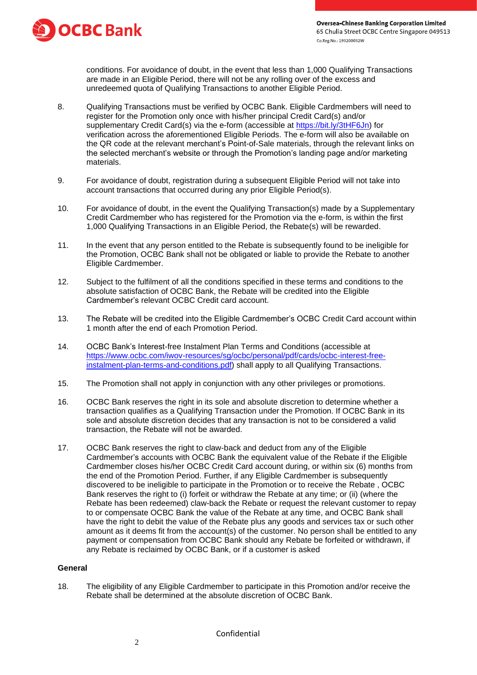

conditions. For avoidance of doubt, in the event that less than 1,000 Qualifying Transactions are made in an Eligible Period, there will not be any rolling over of the excess and unredeemed quota of Qualifying Transactions to another Eligible Period.

- 8. Qualifying Transactions must be verified by OCBC Bank. Eligible Cardmembers will need to register for the Promotion only once with his/her principal Credit Card(s) and/or supplementary Credit Card(s) via the e-form (accessible at [https://bit.ly/3tHF6Jn\)](https://bit.ly/3tHF6Jn) for verification across the aforementioned Eligible Periods. The e-form will also be available on the QR code at the relevant merchant's Point-of-Sale materials, through the relevant links on the selected merchant's website or through the Promotion's landing page and/or marketing materials.
- 9. For avoidance of doubt, registration during a subsequent Eligible Period will not take into account transactions that occurred during any prior Eligible Period(s).
- 10. For avoidance of doubt, in the event the Qualifying Transaction(s) made by a Supplementary Credit Cardmember who has registered for the Promotion via the e-form, is within the first 1,000 Qualifying Transactions in an Eligible Period, the Rebate(s) will be rewarded.
- 11. In the event that any person entitled to the Rebate is subsequently found to be ineligible for the Promotion, OCBC Bank shall not be obligated or liable to provide the Rebate to another Eligible Cardmember.
- 12. Subject to the fulfilment of all the conditions specified in these terms and conditions to the absolute satisfaction of OCBC Bank, the Rebate will be credited into the Eligible Cardmember's relevant OCBC Credit card account.
- 13. The Rebate will be credited into the Eligible Cardmember's OCBC Credit Card account within 1 month after the end of each Promotion Period.
- 14. OCBC Bank's Interest-free Instalment Plan Terms and Conditions (accessible at [https://www.ocbc.com/iwov-resources/sg/ocbc/personal/pdf/cards/ocbc-interest-free](https://www.ocbc.com/iwov-resources/sg/ocbc/personal/pdf/cards/ocbc-interest-free-instalment-plan-terms-and-conditions.pdf)[instalment-plan-terms-and-conditions.pdf\)](https://www.ocbc.com/iwov-resources/sg/ocbc/personal/pdf/cards/ocbc-interest-free-instalment-plan-terms-and-conditions.pdf) shall apply to all Qualifying Transactions.
- 15. The Promotion shall not apply in conjunction with any other privileges or promotions.
- 16. OCBC Bank reserves the right in its sole and absolute discretion to determine whether a transaction qualifies as a Qualifying Transaction under the Promotion. If OCBC Bank in its sole and absolute discretion decides that any transaction is not to be considered a valid transaction, the Rebate will not be awarded.
- 17. OCBC Bank reserves the right to claw-back and deduct from any of the Eligible Cardmember's accounts with OCBC Bank the equivalent value of the Rebate if the Eligible Cardmember closes his/her OCBC Credit Card account during, or within six (6) months from the end of the Promotion Period. Further, if any Eligible Cardmember is subsequently discovered to be ineligible to participate in the Promotion or to receive the Rebate , OCBC Bank reserves the right to (i) forfeit or withdraw the Rebate at any time; or (ii) (where the Rebate has been redeemed) claw-back the Rebate or request the relevant customer to repay to or compensate OCBC Bank the value of the Rebate at any time, and OCBC Bank shall have the right to debit the value of the Rebate plus any goods and services tax or such other amount as it deems fit from the account(s) of the customer. No person shall be entitled to any payment or compensation from OCBC Bank should any Rebate be forfeited or withdrawn, if any Rebate is reclaimed by OCBC Bank, or if a customer is asked

### **General**

18. The eligibility of any Eligible Cardmember to participate in this Promotion and/or receive the Rebate shall be determined at the absolute discretion of OCBC Bank.